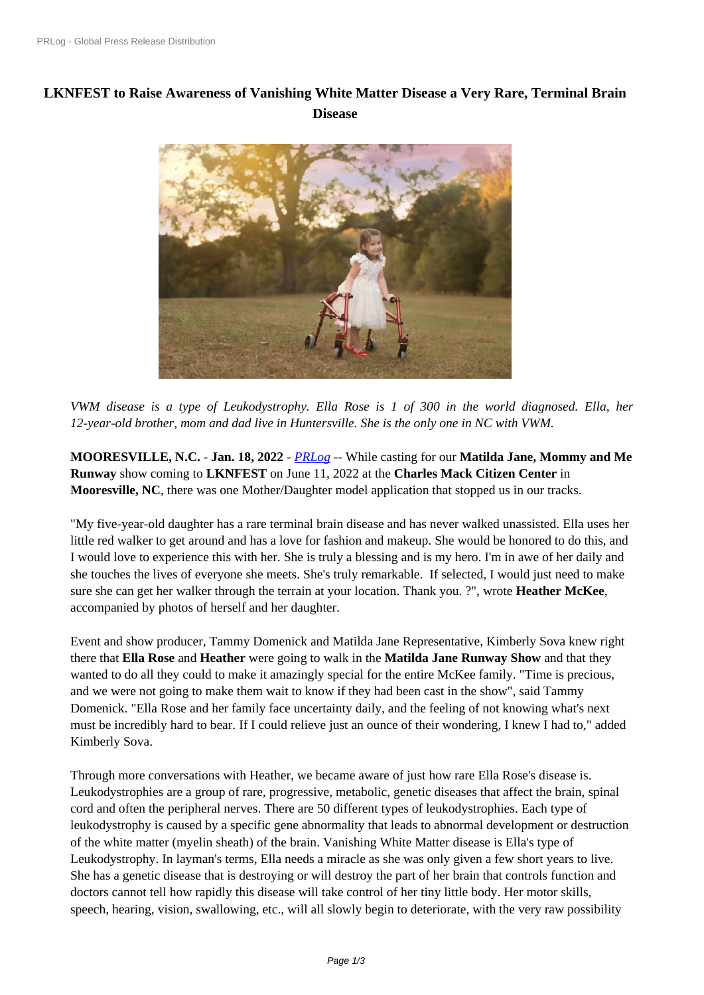## **[LKNFEST to Raise Awarene](https://www.prlog.org/)ss of Vanishing White Matter Disease a Very Rare, Terminal Brain Disease**



*VWM disease i[s a type of Leukodystrophy. Ella Rose is 1 of 300 in the world](https://www.prlog.org/12901462-ella-rose-captured-by-carrie-howland-photography.jpg) diagnosed. Ella, her 12-year-old brother, mom and dad live in Huntersville. She is the only one in NC with VWM.*

**MOORESVILLE, N.C.** - **Jan. 18, 2022** - *PRLog* -- While casting for our **Matilda Jane, Mommy and Me Runway** show coming to **LKNFEST** on June 11, 2022 at the **Charles Mack Citizen Center** in **Mooresville, NC**, there was one Mother/Daughter model application that stopped us in our tracks.

"My five-year-old daughter has a rare term[inal bra](https://www.prlog.org)in disease and has never walked unassisted. Ella uses her little red walker to get around and has a love for fashion and makeup. She would be honored to do this, and I would love to experience this with her. She is truly a blessing and is my hero. I'm in awe of her daily and she touches the lives of everyone she meets. She's truly remarkable. If selected, I would just need to make sure she can get her walker through the terrain at your location. Thank you. ?", wrote **Heather McKee**, accompanied by photos of herself and her daughter.

Event and show producer, Tammy Domenick and Matilda Jane Representative, Kimberly Sova knew right there that **Ella Rose** and **Heather** were going to walk in the **Matilda Jane Runway Show** and that they wanted to do all they could to make it amazingly special for the entire McKee family. "Time is precious, and we were not going to make them wait to know if they had been cast in the show", said Tammy Domenick. "Ella Rose and her family face uncertainty daily, and the feeling of not knowing what's next must be incredibly hard to bear. If I could relieve just an ounce of their wondering, I knew I had to," added Kimberly Sova.

Through more conversations with Heather, we became aware of just how rare Ella Rose's disease is. Leukodystrophies are a group of rare, progressive, metabolic, genetic diseases that affect the brain, spinal cord and often the peripheral nerves. There are 50 different types of leukodystrophies. Each type of leukodystrophy is caused by a specific gene abnormality that leads to abnormal development or destruction of the white matter (myelin sheath) of the brain. Vanishing White Matter disease is Ella's type of Leukodystrophy. In layman's terms, Ella needs a miracle as she was only given a few short years to live. She has a genetic disease that is destroying or will destroy the part of her brain that controls function and doctors cannot tell how rapidly this disease will take control of her tiny little body. Her motor skills, speech, hearing, vision, swallowing, etc., will all slowly begin to deteriorate, with the very raw possibility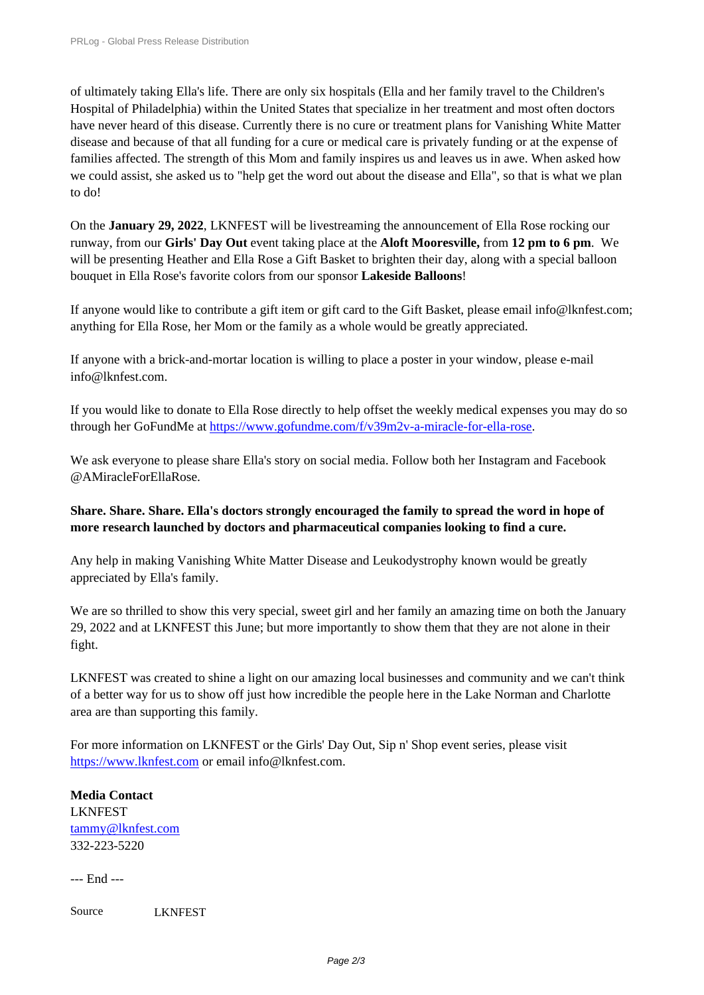of ultimately taking Ella's life. There are only six hospitals (Ella and her family travel to the Children's [Hospital of Philadelphia\) within th](https://www.prlog.org/)e United States that specialize in her treatment and most often doctors have never heard of this disease. Currently there is no cure or treatment plans for Vanishing White Matter disease and because of that all funding for a cure or medical care is privately funding or at the expense of families affected. The strength of this Mom and family inspires us and leaves us in awe. When asked how we could assist, she asked us to "help get the word out about the disease and Ella", so that is what we plan to do!

On the **January 29, 2022**, LKNFEST will be livestreaming the announcement of Ella Rose rocking our runway, from our **Girls' Day Out** event taking place at the **Aloft Mooresville,** from **12 pm to 6 pm**. We will be presenting Heather and Ella Rose a Gift Basket to brighten their day, along with a special balloon bouquet in Ella Rose's favorite colors from our sponsor **Lakeside Balloons**!

If anyone would like to contribute a gift item or gift card to the Gift Basket, please email info@lknfest.com; anything for Ella Rose, her Mom or the family as a whole would be greatly appreciated.

If anyone with a brick-and-mortar location is willing to place a poster in your window, please e-mail info@lknfest.com.

If you would like to donate to Ella Rose directly to help offset the weekly medical expenses you may do so through her GoFundMe at https://www.gofundme.com/f/v39m2v-a-miracle-for-ella-rose.

We ask everyone to please share Ella's story on social media. Follow both her Instagram and Facebook @AMiracleForEllaRose.

## **Share. Share. Share. Ella's doctors strongly encouraged the family to spread the word in hope of more research launched by doctors and pharmaceutical companies looking to find a cure.**

Any help in making Vanishing White Matter Disease and Leukodystrophy known would be greatly appreciated by Ella's family.

We are so thrilled to show this very special, sweet girl and her family an amazing time on both the January 29, 2022 and at LKNFEST this June; but more importantly to show them that they are not alone in their fight.

LKNFEST was created to shine a light on our amazing local businesses and community and we can't think of a better way for us to show off just how incredible the people here in the Lake Norman and Charlotte area are than supporting this family.

For more information on LKNFEST or the Girls' Day Out, Sip n' Shop event series, please visit https://www.lknfest.com or email info@lknfest.com.

**Media Contact** LKNFEST [tammy@lknfest.com](https://www.lknfest.com) 332-223-5220

[--- End ---](https://www.prlog.org/email-contact.html#12901462)

Source LKNFEST